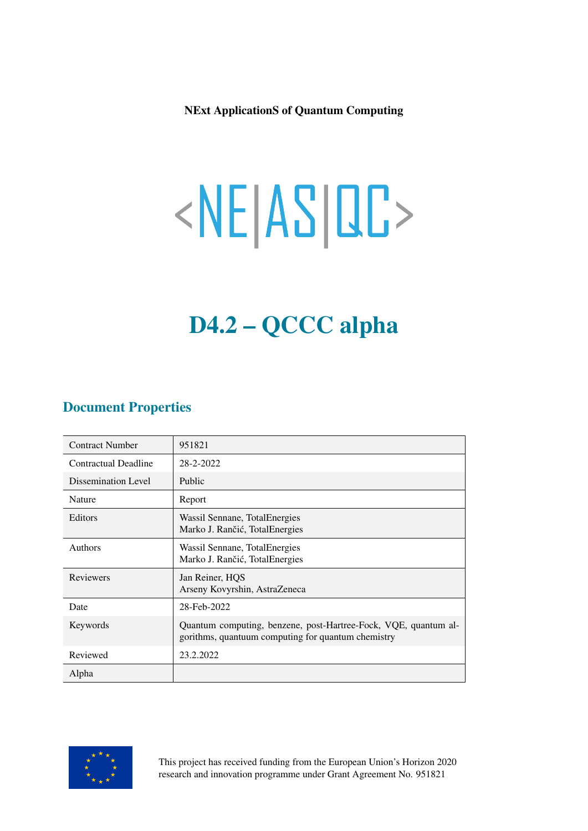NExt ApplicationS of Quantum Computing

# <NE|AS|QC>

# D4.2 – QCCC alpha

#### Document Properties

| <b>Contract Number</b>      | 951821                                                                                                                |
|-----------------------------|-----------------------------------------------------------------------------------------------------------------------|
| <b>Contractual Deadline</b> | 28-2-2022                                                                                                             |
| Dissemination Level         | Public                                                                                                                |
| Nature                      | Report                                                                                                                |
| Editors                     | Wassil Sennane, Total Energies<br>Marko J. Rančić, TotalEnergies                                                      |
| <b>Authors</b>              | Wassil Sennane, Total Energies<br>Marko J. Rančić, TotalEnergies                                                      |
| <b>Reviewers</b>            | Jan Reiner, HOS<br>Arseny Kovyrshin, AstraZeneca                                                                      |
| Date                        | 28-Feb-2022                                                                                                           |
| Keywords                    | Quantum computing, benzene, post-Hartree-Fock, VQE, quantum al-<br>gorithms, quantuum computing for quantum chemistry |
| Reviewed                    | 23.2.2022                                                                                                             |
| Alpha                       |                                                                                                                       |



This project has received funding from the European Union's Horizon 2020 research and innovation programme under Grant Agreement No. 951821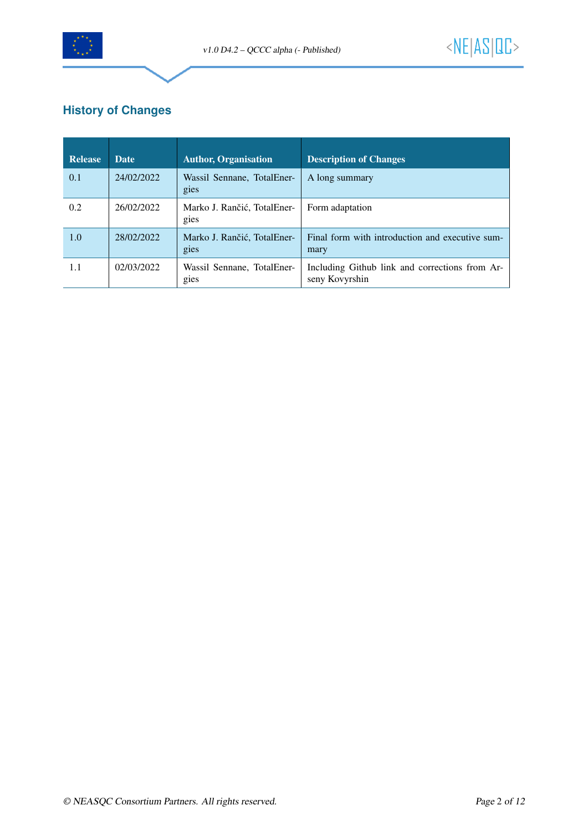

### **History of Changes**

| Release | <b>Date</b> | <b>Author, Organisation</b>         | <b>Description of Changes</b>                                    |
|---------|-------------|-------------------------------------|------------------------------------------------------------------|
| 0.1     | 24/02/2022  | Wassil Sennane, TotalEner-<br>gies  | A long summary                                                   |
| 0.2     | 26/02/2022  | Marko J. Rančić, TotalEner-<br>gies | Form adaptation                                                  |
| 1.0     | 28/02/2022  | Marko J. Rančić, TotalEner-<br>gies | Final form with introduction and executive sum-<br>mary          |
| 1.1     | 02/03/2022  | Wassil Sennane, TotalEner-<br>gies  | Including Github link and corrections from Ar-<br>seny Kovyrshin |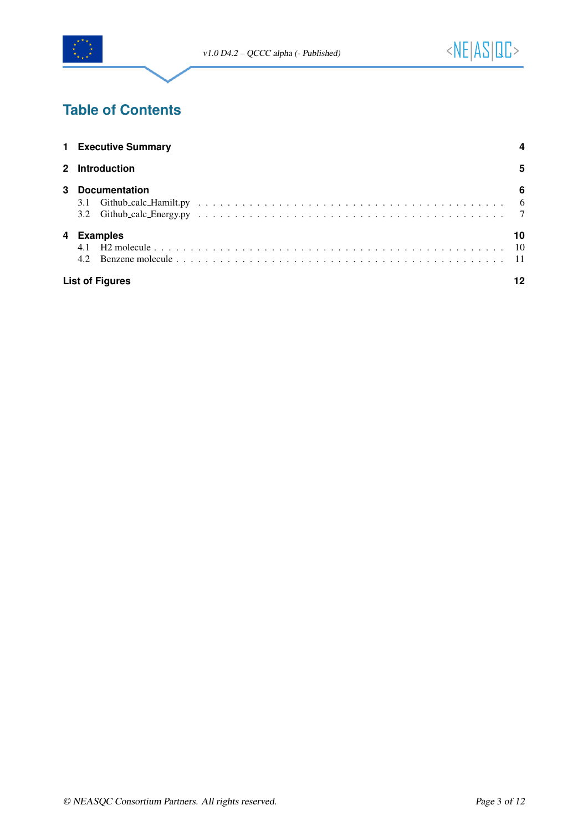

# **Table of Contents**

|                | 1 Executive Summary                |                       |  |  |  |
|----------------|------------------------------------|-----------------------|--|--|--|
| $\overline{2}$ | Introduction                       |                       |  |  |  |
| 3              | <b>Documentation</b><br>3.1<br>3.2 | 6                     |  |  |  |
| 4              | <b>Examples</b><br>4.2             | 10<br>$\overline{10}$ |  |  |  |
|                | <b>List of Figures</b>             |                       |  |  |  |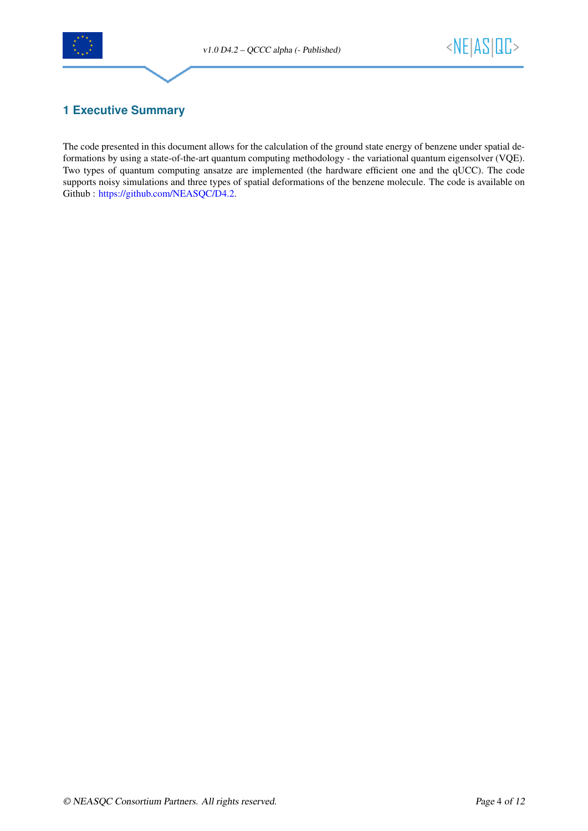



#### <span id="page-3-0"></span>**1 Executive Summary**

The code presented in this document allows for the calculation of the ground state energy of benzene under spatial deformations by using a state-of-the-art quantum computing methodology - the variational quantum eigensolver (VQE). Two types of quantum computing ansatze are implemented (the hardware efficient one and the qUCC). The code supports noisy simulations and three types of spatial deformations of the benzene molecule. The code is available on Github : [https://github.com/NEASQC/D4.2.](https://github.com/NEASQC/D4.2)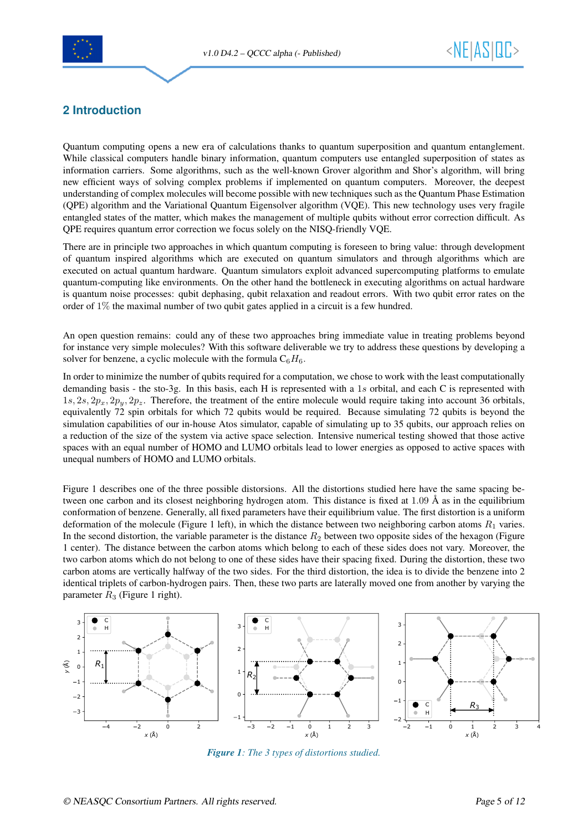



#### <span id="page-4-0"></span>**2 Introduction**

Quantum computing opens a new era of calculations thanks to quantum superposition and quantum entanglement. While classical computers handle binary information, quantum computers use entangled superposition of states as information carriers. Some algorithms, such as the well-known Grover algorithm and Shor's algorithm, will bring new efficient ways of solving complex problems if implemented on quantum computers. Moreover, the deepest understanding of complex molecules will become possible with new techniques such as the Quantum Phase Estimation (QPE) algorithm and the Variational Quantum Eigensolver algorithm (VQE). This new technology uses very fragile entangled states of the matter, which makes the management of multiple qubits without error correction difficult. As QPE requires quantum error correction we focus solely on the NISQ-friendly VQE.

There are in principle two approaches in which quantum computing is foreseen to bring value: through development of quantum inspired algorithms which are executed on quantum simulators and through algorithms which are executed on actual quantum hardware. Quantum simulators exploit advanced supercomputing platforms to emulate quantum-computing like environments. On the other hand the bottleneck in executing algorithms on actual hardware is quantum noise processes: qubit dephasing, qubit relaxation and readout errors. With two qubit error rates on the order of 1% the maximal number of two qubit gates applied in a circuit is a few hundred.

An open question remains: could any of these two approaches bring immediate value in treating problems beyond for instance very simple molecules? With this software deliverable we try to address these questions by developing a solver for benzene, a cyclic molecule with the formula  $C_6H_6$ .

In order to minimize the number of qubits required for a computation, we chose to work with the least computationally demanding basis - the sto-3g. In this basis, each H is represented with a 1s orbital, and each C is represented with  $1s, 2s, 2p_x, 2p_y, 2p_z$ . Therefore, the treatment of the entire molecule would require taking into account 36 orbitals, equivalently 72 spin orbitals for which 72 qubits would be required. Because simulating 72 qubits is beyond the simulation capabilities of our in-house Atos simulator, capable of simulating up to 35 qubits, our approach relies on a reduction of the size of the system via active space selection. Intensive numerical testing showed that those active spaces with an equal number of HOMO and LUMO orbitals lead to lower energies as opposed to active spaces with unequal numbers of HOMO and LUMO orbitals.

Figure 1 describes one of the three possible distorsions. All the distortions studied here have the same spacing between one carbon and its closest neighboring hydrogen atom. This distance is fixed at  $1.09 \text{ Å}$  as in the equilibrium conformation of benzene. Generally, all fixed parameters have their equilibrium value. The first distortion is a uniform deformation of the molecule (Figure 1 left), in which the distance between two neighboring carbon atoms  $R_1$  varies. In the second distortion, the variable parameter is the distance  $R_2$  between two opposite sides of the hexagon (Figure 1 center). The distance between the carbon atoms which belong to each of these sides does not vary. Moreover, the two carbon atoms which do not belong to one of these sides have their spacing fixed. During the distortion, these two carbon atoms are vertically halfway of the two sides. For the third distortion, the idea is to divide the benzene into 2 identical triplets of carbon-hydrogen pairs. Then, these two parts are laterally moved one from another by varying the parameter  $R_3$  (Figure 1 right).

<span id="page-4-1"></span>

*Figure 1: The 3 types of distortions studied.*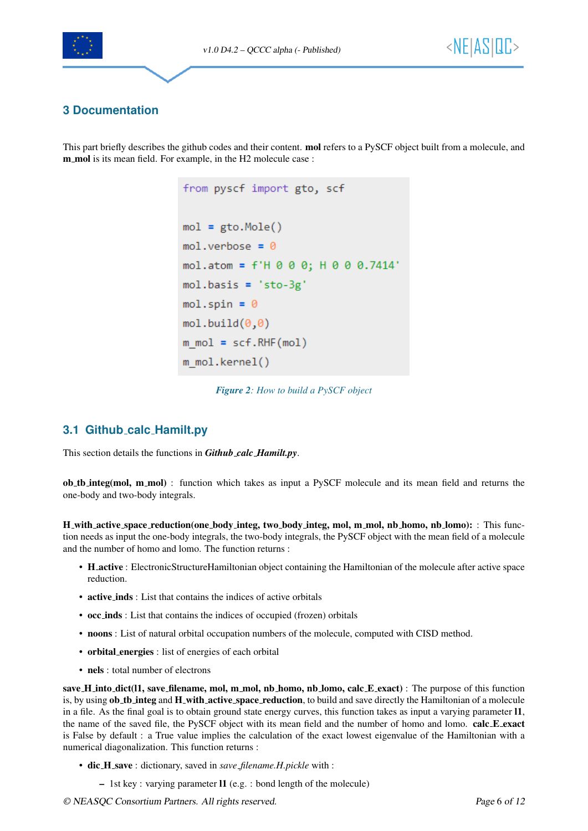



#### <span id="page-5-0"></span>**3 Documentation**

<span id="page-5-2"></span>This part briefly describes the github codes and their content. **mol** refers to a PySCF object built from a molecule, and m\_mol is its mean field. For example, in the H2 molecule case :

```
from pyscf import gto, scf
mol = gto.Mole()mol.verbose = 0mol.atom = f'H 0 0 0; H 0 0 0.7414'
mol.basis = 'sto-3g'mol.spin = \thetamol.build(0,0)m_{mol} = scf.RHF(mol)m mol.kernel()
```
*Figure 2: How to build a PySCF object*

#### <span id="page-5-1"></span>**3.1 Github calc Hamilt.py**

This section details the functions in *Github calc Hamilt.py*.

ob tb integ(mol, m mol) : function which takes as input a PySCF molecule and its mean field and returns the one-body and two-body integrals.

H with active space reduction(one body integ, two body integ, mol, m mol, nb homo, nb lomo): : This function needs as input the one-body integrals, the two-body integrals, the PySCF object with the mean field of a molecule and the number of homo and lomo. The function returns :

- H active : ElectronicStructureHamiltonian object containing the Hamiltonian of the molecule after active space reduction.
- active inds : List that contains the indices of active orbitals
- occ inds : List that contains the indices of occupied (frozen) orbitals
- noons : List of natural orbital occupation numbers of the molecule, computed with CISD method.
- orbital energies : list of energies of each orbital
- nels : total number of electrons

save H into dict(l1, save filename, mol, m mol, nb homo, nb lomo, calc E exact) : The purpose of this function is, by using ob the integ and H with active space reduction, to build and save directly the Hamiltonian of a molecule in a file. As the final goal is to obtain ground state energy curves, this function takes as input a varying parameter l1, the name of the saved file, the PySCF object with its mean field and the number of homo and lomo. calc E exact is False by default : a True value implies the calculation of the exact lowest eigenvalue of the Hamiltonian with a numerical diagonalization. This function returns :

- dic H save : dictionary, saved in *save filename.H.pickle* with :
	- 1st key : varying parameter l1 (e.g. : bond length of the molecule)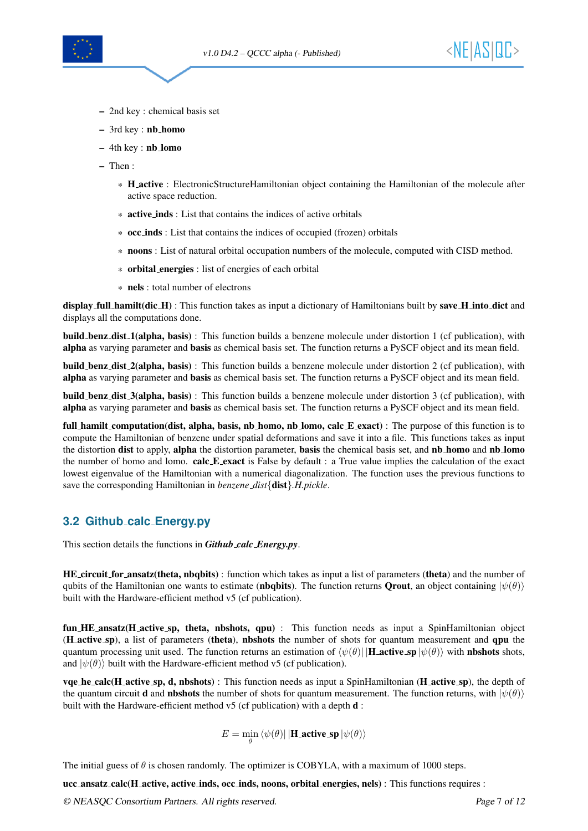

- 2nd key : chemical basis set
- 3rd key : nb homo
- 4th key : nb lomo
- Then :
	- \* H active : ElectronicStructureHamiltonian object containing the Hamiltonian of the molecule after active space reduction.
	- \* active inds : List that contains the indices of active orbitals
	- \* occ inds : List that contains the indices of occupied (frozen) orbitals
	- \* noons : List of natural orbital occupation numbers of the molecule, computed with CISD method.
	- \* orbital energies : list of energies of each orbital
	- \* nels : total number of electrons

display full hamilt(dic H) : This function takes as input a dictionary of Hamiltonians built by save H into dict and displays all the computations done.

build benz dist 1(alpha, basis) : This function builds a benzene molecule under distortion 1 (cf publication), with alpha as varying parameter and basis as chemical basis set. The function returns a PySCF object and its mean field.

build benz dist 2(alpha, basis) : This function builds a benzene molecule under distortion 2 (cf publication), with alpha as varying parameter and basis as chemical basis set. The function returns a PySCF object and its mean field.

build benz dist 3(alpha, basis) : This function builds a benzene molecule under distortion 3 (cf publication), with alpha as varying parameter and basis as chemical basis set. The function returns a PySCF object and its mean field.

full hamilt computation(dist, alpha, basis, nb homo, nb lomo, calc E exact) : The purpose of this function is to compute the Hamiltonian of benzene under spatial deformations and save it into a file. This functions takes as input the distortion dist to apply, alpha the distortion parameter, basis the chemical basis set, and nb homo and nb homo the number of homo and lomo. calc E exact is False by default : a True value implies the calculation of the exact lowest eigenvalue of the Hamiltonian with a numerical diagonalization. The function uses the previous functions to save the corresponding Hamiltonian in *benzene dist*{dist}*.H.pickle*.

#### <span id="page-6-0"></span>**3.2 Github calc Energy.py**

This section details the functions in *Github calc Energy.py*.

HE circuit for ansatz(theta, nbqbits) : function which takes as input a list of parameters (theta) and the number of qubits of the Hamiltonian one wants to estimate (nbqbits). The function returns Qrout, an object containing  $|\psi(\theta)\rangle$ built with the Hardware-efficient method v5 (cf publication).

fun HE ansatz(H active sp, theta, nbshots, qpu) : This function needs as input a SpinHamiltonian object (H active sp), a list of parameters (theta), nbshots the number of shots for quantum measurement and qpu the quantum processing unit used. The function returns an estimation of  $\langle \psi(\theta) | \mathbf{H} \rangle$  active sp  $|\psi(\theta)\rangle$  with nbshots shots, and  $|\psi(\theta)\rangle$  built with the Hardware-efficient method v5 (cf publication).

vqe he calc(H active sp, d, nbshots) : This function needs as input a SpinHamiltonian (H active sp), the depth of the quantum circuit **d** and **nbshots** the number of shots for quantum measurement. The function returns, with  $|\psi(\theta)\rangle$ built with the Hardware-efficient method v5 (cf publication) with a depth **d** :

 $E = \min_{\theta} \bra{\psi(\theta)}|\textbf{H}\text{.active\_sp}\ket{\psi(\theta)}$ 

The initial guess of  $\theta$  is chosen randomly. The optimizer is COBYLA, with a maximum of 1000 steps.

ucc ansatz calc(H active, active inds, occ inds, noons, orbital energies, nels) : This functions requires :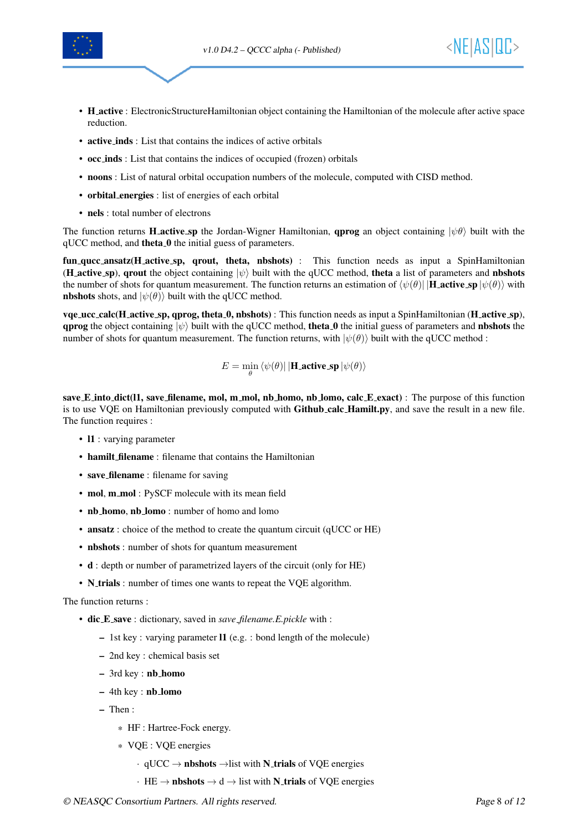



- H active : ElectronicStructureHamiltonian object containing the Hamiltonian of the molecule after active space reduction.
- active inds : List that contains the indices of active orbitals
- occ inds : List that contains the indices of occupied (frozen) orbitals
- noons : List of natural orbital occupation numbers of the molecule, computed with CISD method.
- orbital energies : list of energies of each orbital
- nels : total number of electrons

The function returns **H** active sp the Jordan-Wigner Hamiltonian, **qprog** an object containing  $|\psi \theta \rangle$  built with the qUCC method, and theta<sub>-0</sub> the initial guess of parameters.

fun qucc ansatz(H active sp, qrout, theta, nbshots) : This function needs as input a SpinHamiltonian (H active sp), qrout the object containing  $|\psi\rangle$  built with the qUCC method, theta a list of parameters and nbshots the number of shots for quantum measurement. The function returns an estimation of  $\langle \psi(\theta) | \mathbf{H} \rangle$  active sp  $|\psi(\theta)\rangle$  with **nbshots** shots, and  $|\psi(\theta)\rangle$  built with the qUCC method.

 $vq$ e ucc calc(H active sp, qprog, theta 0, nbshots) : This function needs as input a SpinHamiltonian (H active sp), **qprog** the object containing  $|\psi\rangle$  built with the qUCC method, **theta 0** the initial guess of parameters and **nbshots** the number of shots for quantum measurement. The function returns, with  $|\psi(\theta)\rangle$  built with the qUCC method :

$$
E = \min_{\theta} \langle \psi(\theta) | | \mathbf{H}\text{-active}.\mathbf{sp} | \psi(\theta) \rangle
$$

save E into dict(11, save filename, mol, m mol, nb homo, nb lomo, calc E exact) : The purpose of this function is to use VQE on Hamiltonian previously computed with **Github<sub>-calc</sub> Hamilt.py**, and save the result in a new file. The function requires :

- 11 : varying parameter
- hamilt filename : filename that contains the Hamiltonian
- save\_filename : filename for saving
- mol, m\_mol : PySCF molecule with its mean field
- nb\_homo, nb\_lomo : number of homo and lomo
- ansatz : choice of the method to create the quantum circuit (qUCC or HE)
- nbshots : number of shots for quantum measurement
- d : depth or number of parametrized layers of the circuit (only for HE)
- N\_trials : number of times one wants to repeat the VQE algorithm.

#### The function returns :

- dic E save : dictionary, saved in *save filename.E.pickle* with :
	- 1st key : varying parameter l1 (e.g. : bond length of the molecule)
	- 2nd key : chemical basis set
	- 3rd key : nb homo
	- 4th key : nb lomo
	- Then :
		- \* HF : Hartree-Fock energy.
		- \* VQE : VQE energies
			- $\cdot$  qUCC  $\rightarrow$  **nbshots**  $\rightarrow$  list with **N\_trials** of VQE energies
			- $\cdot$  HE  $\rightarrow$  **nbshots**  $\rightarrow$  d  $\rightarrow$  list with **N\_trials** of VQE energies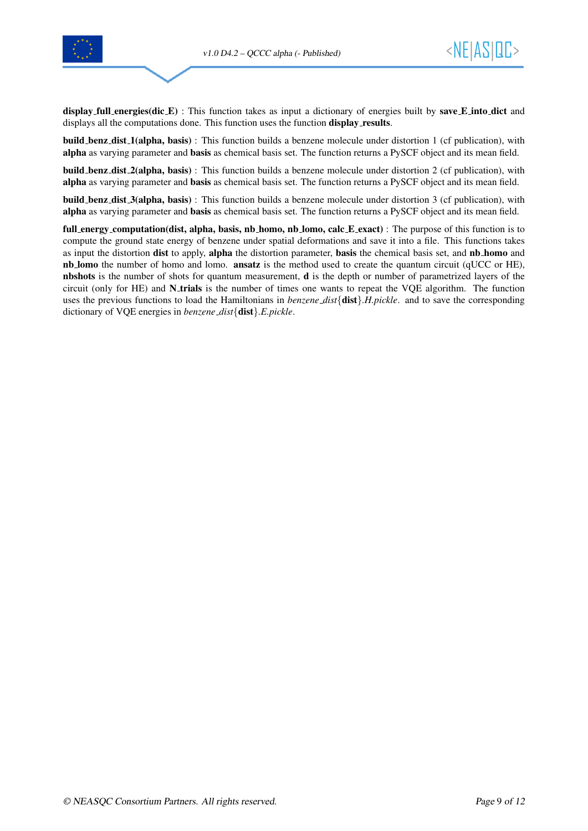



display full energies(dic E) : This function takes as input a dictionary of energies built by save E into dict and displays all the computations done. This function uses the function display\_results.

build benz dist 1(alpha, basis) : This function builds a benzene molecule under distortion 1 (cf publication), with alpha as varying parameter and basis as chemical basis set. The function returns a PySCF object and its mean field.

build benz dist 2(alpha, basis) : This function builds a benzene molecule under distortion 2 (cf publication), with alpha as varying parameter and basis as chemical basis set. The function returns a PySCF object and its mean field.

build benz dist 3(alpha, basis) : This function builds a benzene molecule under distortion 3 (cf publication), with alpha as varying parameter and basis as chemical basis set. The function returns a PySCF object and its mean field.

full energy computation(dist, alpha, basis, nb homo, nb lomo, calc E exact) : The purpose of this function is to compute the ground state energy of benzene under spatial deformations and save it into a file. This functions takes as input the distortion dist to apply, alpha the distortion parameter, basis the chemical basis set, and nb homo and nb lomo the number of homo and lomo. ansatz is the method used to create the quantum circuit (qUCC or HE), nbshots is the number of shots for quantum measurement, d is the depth or number of parametrized layers of the circuit (only for HE) and N<sub>-trials</sub> is the number of times one wants to repeat the VQE algorithm. The function uses the previous functions to load the Hamiltonians in *benzene dist*{dist}*.H.pickle*. and to save the corresponding dictionary of VQE energies in *benzene dist*{dist}*.E.pickle*.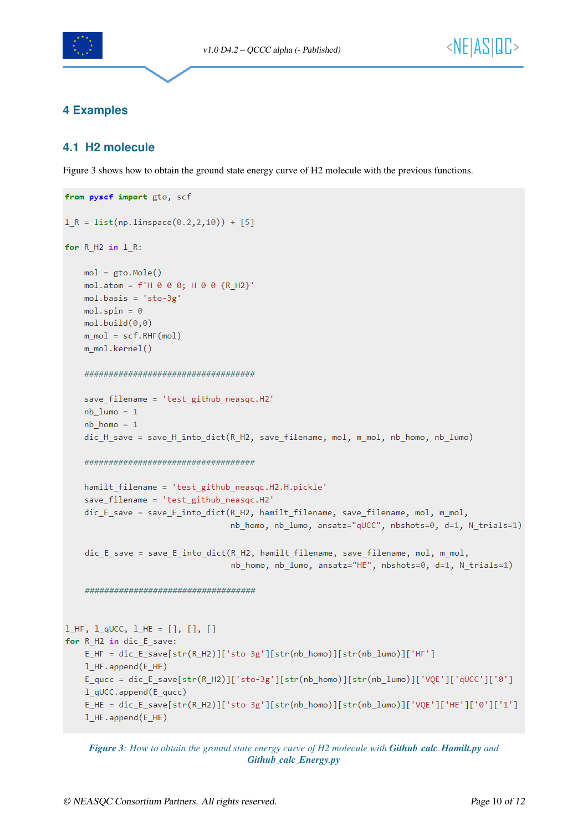

#### <span id="page-9-0"></span>**4 Examples**

#### <span id="page-9-1"></span>**4.1 H2 molecule**

Figure [3](#page-9-2) shows how to obtain the ground state energy curve of H2 molecule with the previous functions.

```
from pyscf import gto, scf
1_R = list(np.linalg(0.2, 2, 10)) + [5]for R H2 in 1 R:
   mol = gto.Mole()mol.atom = f'H \theta \theta \theta; H \theta \theta {R_H2}'
   mol.basis = 'sto-3g'mol.spin = 0mol.build(0,0)m \text{ mol} = \text{scf.RHF}(mol)m mol.kernel()
   save filename = 'test_github_neasqc.H2'
   nb lumo = 1
   nb_{homo} = 1dic_H_save = save_H_into_dict(R_H2, save_filename, mol, m_mol, nb_homo, nb_lumo)
   hamilt_filename = 'test_github_neasqc.H2.H.pickle'
   save_filename = 'test_github_neasqc.H2'
   dic E save = save E into dict(R H2, hamilt filename, save filename, mol, m mol,
                                nb homo, nb lumo, ansatz="qUCC", nbshots=0, d=1, N trials=1)
   dic_E_save = save_E_into_dict(R_H2, hamilt_filename, save_filename, mol, m_mol,
                                nb_homo, nb_lumo, ansatz="HE", nbshots=0, d=1, N_trials=1)
   1 HF, 1 qUCC, 1 HE = [], [], []
for R_H2 in dic_E_save:
   E_HF = dic_E_save[str(R_H2)]['sto-3g'][str(nb_homo)][str(nb_lumo)]['HF']
   1 HF.append(E HF)
   E_qucc = dic_E_save[str(R_H2)]['sto-3g'][str(nb_homo)][str(nb_lumo)]['VQE']['qUCC']['0']
   1 qUCC.append(E qucc)
   E_HE = dic_E_save[str(R_H2)]['sto-3g'][str(nb_homo)][str(nb_lumo)]['VQE']['HE']['0']['1']
   1_HE.append(E_HE)
```
*Figure 3: How to obtain the ground state energy curve of H2 molecule with Github calc Hamilt.py and Github calc Energy.py*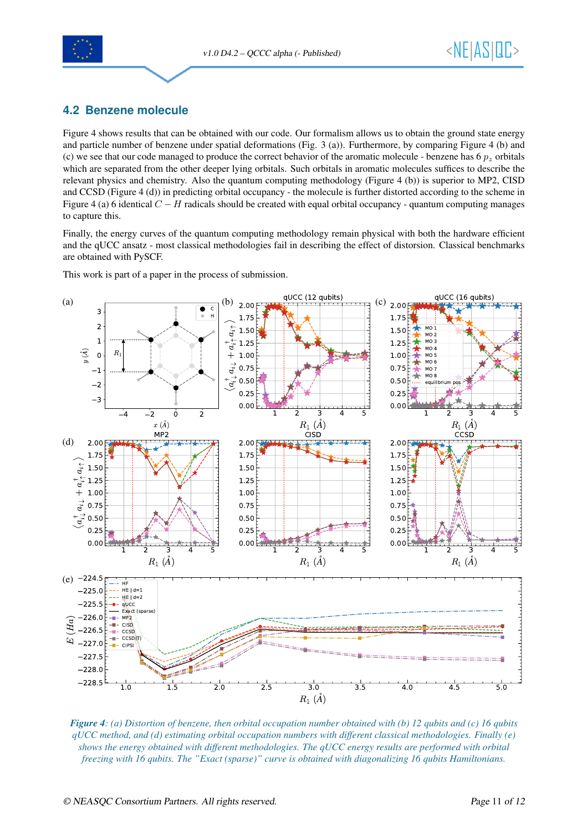



#### <span id="page-10-0"></span>**4.2 Benzene molecule**

Figure [4](#page-10-1) shows results that can be obtained with our code. Our formalism allows us to obtain the ground state energy and particle number of benzene under spatial deformations (Fig. 3 (a)). Furthermore, by comparing Figure [4](#page-10-1) (b) and (c) we see that our code managed to produce the correct behavior of the aromatic molecule - benzene has 6  $p<sub>z</sub>$  orbitals which are separated from the other deeper lying orbitals. Such orbitals in aromatic molecules suffices to describe the relevant physics and chemistry. Also the quantum computing methodology (Figure [4](#page-10-1) (b)) is superior to MP2, CISD and CCSD (Figure [4](#page-10-1) (d)) in predicting orbital occupancy - the molecule is further distorted according to the scheme in Figure [4](#page-10-1) (a) 6 identical  $C - H$  radicals should be created with equal orbital occupancy - quantum computing manages to capture this.

Finally, the energy curves of the quantum computing methodology remain physical with both the hardware efficient and the qUCC ansatz - most classical methodologies fail in describing the effect of distorsion. Classical benchmarks are obtained with PySCF.

This work is part of a paper in the process of submission.

<span id="page-10-1"></span>

*Figure 4: (a) Distortion of benzene, then orbital occupation number obtained with (b) 12 qubits and (c) 16 qubits qUCC method, and (d) estimating orbital occupation numbers with different classical methodologies. Finally (e) shows the energy obtained with different methodologies. The qUCC energy results are performed with orbital freezing with 16 qubits. The "Exact (sparse)" curve is obtained with diagonalizing 16 qubits Hamiltonians.*